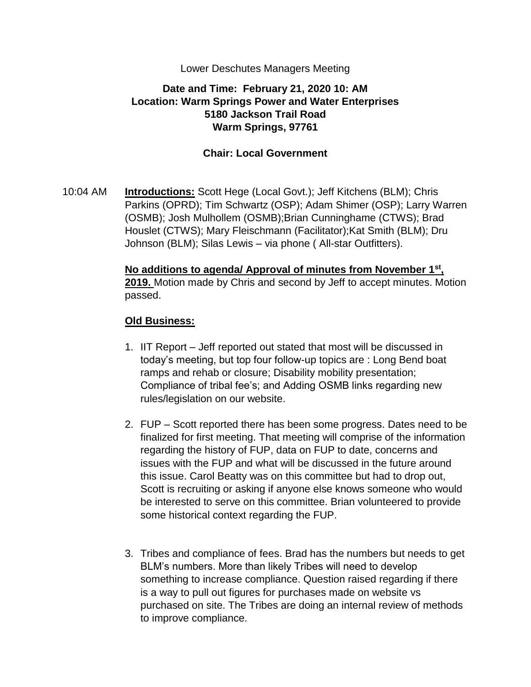### Lower Deschutes Managers Meeting

# **Date and Time: February 21, 2020 10: AM Location: Warm Springs Power and Water Enterprises 5180 Jackson Trail Road Warm Springs, 97761**

### **Chair: Local Government**

10:04 AM **Introductions:** Scott Hege (Local Govt.); Jeff Kitchens (BLM); Chris Parkins (OPRD); Tim Schwartz (OSP); Adam Shimer (OSP); Larry Warren (OSMB); Josh Mulhollem (OSMB);Brian Cunninghame (CTWS); Brad Houslet (CTWS); Mary Fleischmann (Facilitator);Kat Smith (BLM); Dru Johnson (BLM); Silas Lewis – via phone ( All-star Outfitters).

> **No additions to agenda/ Approval of minutes from November 1st , 2019.** Motion made by Chris and second by Jeff to accept minutes. Motion passed.

## **Old Business:**

- 1. IIT Report Jeff reported out stated that most will be discussed in today's meeting, but top four follow-up topics are : Long Bend boat ramps and rehab or closure; Disability mobility presentation; Compliance of tribal fee's; and Adding OSMB links regarding new rules/legislation on our website.
- 2. FUP Scott reported there has been some progress. Dates need to be finalized for first meeting. That meeting will comprise of the information regarding the history of FUP, data on FUP to date, concerns and issues with the FUP and what will be discussed in the future around this issue. Carol Beatty was on this committee but had to drop out, Scott is recruiting or asking if anyone else knows someone who would be interested to serve on this committee. Brian volunteered to provide some historical context regarding the FUP.
- 3. Tribes and compliance of fees. Brad has the numbers but needs to get BLM's numbers. More than likely Tribes will need to develop something to increase compliance. Question raised regarding if there is a way to pull out figures for purchases made on website vs purchased on site. The Tribes are doing an internal review of methods to improve compliance.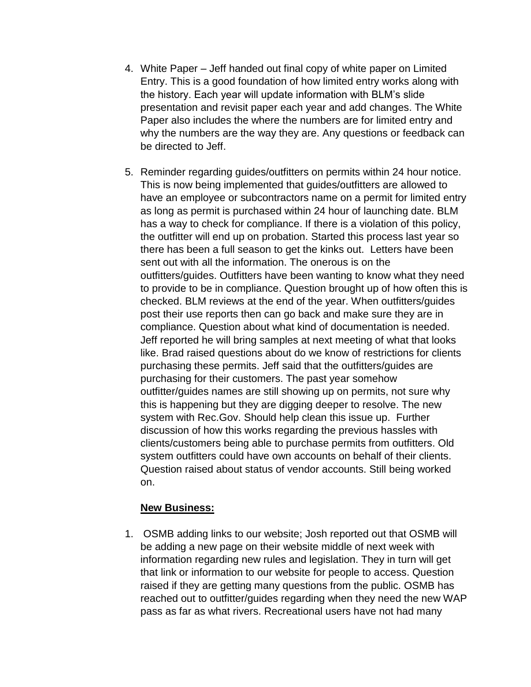- 4. White Paper Jeff handed out final copy of white paper on Limited Entry. This is a good foundation of how limited entry works along with the history. Each year will update information with BLM's slide presentation and revisit paper each year and add changes. The White Paper also includes the where the numbers are for limited entry and why the numbers are the way they are. Any questions or feedback can be directed to Jeff.
- 5. Reminder regarding guides/outfitters on permits within 24 hour notice. This is now being implemented that guides/outfitters are allowed to have an employee or subcontractors name on a permit for limited entry as long as permit is purchased within 24 hour of launching date. BLM has a way to check for compliance. If there is a violation of this policy, the outfitter will end up on probation. Started this process last year so there has been a full season to get the kinks out. Letters have been sent out with all the information. The onerous is on the outfitters/guides. Outfitters have been wanting to know what they need to provide to be in compliance. Question brought up of how often this is checked. BLM reviews at the end of the year. When outfitters/guides post their use reports then can go back and make sure they are in compliance. Question about what kind of documentation is needed. Jeff reported he will bring samples at next meeting of what that looks like. Brad raised questions about do we know of restrictions for clients purchasing these permits. Jeff said that the outfitters/guides are purchasing for their customers. The past year somehow outfitter/guides names are still showing up on permits, not sure why this is happening but they are digging deeper to resolve. The new system with Rec.Gov. Should help clean this issue up. Further discussion of how this works regarding the previous hassles with clients/customers being able to purchase permits from outfitters. Old system outfitters could have own accounts on behalf of their clients. Question raised about status of vendor accounts. Still being worked on.

## **New Business:**

1. OSMB adding links to our website; Josh reported out that OSMB will be adding a new page on their website middle of next week with information regarding new rules and legislation. They in turn will get that link or information to our website for people to access. Question raised if they are getting many questions from the public. OSMB has reached out to outfitter/guides regarding when they need the new WAP pass as far as what rivers. Recreational users have not had many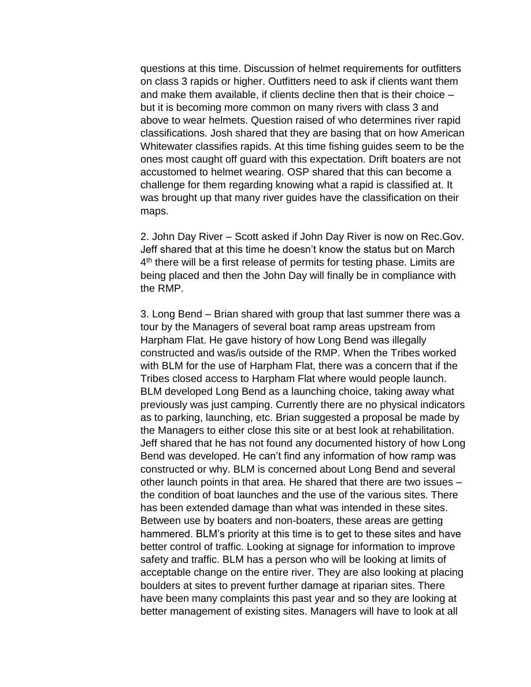questions at this time. Discussion of helmet requirements for outfitters on class 3 rapids or higher. Outfitters need to ask if clients want them and make them available, if clients decline then that is their choice – but it is becoming more common on many rivers with class 3 and above to wear helmets. Question raised of who determines river rapid classifications. Josh shared that they are basing that on how American Whitewater classifies rapids. At this time fishing guides seem to be the ones most caught off guard with this expectation. Drift boaters are not accustomed to helmet wearing. OSP shared that this can become a challenge for them regarding knowing what a rapid is classified at. It was brought up that many river guides have the classification on their maps.

2. John Day River – Scott asked if John Day River is now on Rec.Gov. Jeff shared that at this time he doesn't know the status but on March 4<sup>th</sup> there will be a first release of permits for testing phase. Limits are being placed and then the John Day will finally be in compliance with the RMP.

3. Long Bend – Brian shared with group that last summer there was a tour by the Managers of several boat ramp areas upstream from Harpham Flat. He gave history of how Long Bend was illegally constructed and was/is outside of the RMP. When the Tribes worked with BLM for the use of Harpham Flat, there was a concern that if the Tribes closed access to Harpham Flat where would people launch. BLM developed Long Bend as a launching choice, taking away what previously was just camping. Currently there are no physical indicators as to parking, launching, etc. Brian suggested a proposal be made by the Managers to either close this site or at best look at rehabilitation. Jeff shared that he has not found any documented history of how Long Bend was developed. He can't find any information of how ramp was constructed or why. BLM is concerned about Long Bend and several other launch points in that area. He shared that there are two issues – the condition of boat launches and the use of the various sites. There has been extended damage than what was intended in these sites. Between use by boaters and non-boaters, these areas are getting hammered. BLM's priority at this time is to get to these sites and have better control of traffic. Looking at signage for information to improve safety and traffic. BLM has a person who will be looking at limits of acceptable change on the entire river. They are also looking at placing boulders at sites to prevent further damage at riparian sites. There have been many complaints this past year and so they are looking at better management of existing sites. Managers will have to look at all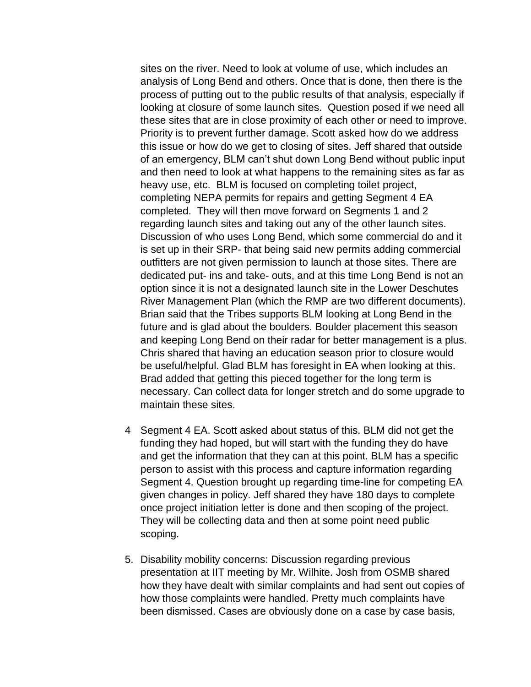sites on the river. Need to look at volume of use, which includes an analysis of Long Bend and others. Once that is done, then there is the process of putting out to the public results of that analysis, especially if looking at closure of some launch sites. Question posed if we need all these sites that are in close proximity of each other or need to improve. Priority is to prevent further damage. Scott asked how do we address this issue or how do we get to closing of sites. Jeff shared that outside of an emergency, BLM can't shut down Long Bend without public input and then need to look at what happens to the remaining sites as far as heavy use, etc. BLM is focused on completing toilet project, completing NEPA permits for repairs and getting Segment 4 EA completed. They will then move forward on Segments 1 and 2 regarding launch sites and taking out any of the other launch sites. Discussion of who uses Long Bend, which some commercial do and it is set up in their SRP- that being said new permits adding commercial outfitters are not given permission to launch at those sites. There are dedicated put- ins and take- outs, and at this time Long Bend is not an option since it is not a designated launch site in the Lower Deschutes River Management Plan (which the RMP are two different documents). Brian said that the Tribes supports BLM looking at Long Bend in the future and is glad about the boulders. Boulder placement this season and keeping Long Bend on their radar for better management is a plus. Chris shared that having an education season prior to closure would be useful/helpful. Glad BLM has foresight in EA when looking at this. Brad added that getting this pieced together for the long term is necessary. Can collect data for longer stretch and do some upgrade to maintain these sites.

- 4 Segment 4 EA. Scott asked about status of this. BLM did not get the funding they had hoped, but will start with the funding they do have and get the information that they can at this point. BLM has a specific person to assist with this process and capture information regarding Segment 4. Question brought up regarding time-line for competing EA given changes in policy. Jeff shared they have 180 days to complete once project initiation letter is done and then scoping of the project. They will be collecting data and then at some point need public scoping.
- 5. Disability mobility concerns: Discussion regarding previous presentation at IIT meeting by Mr. Wilhite. Josh from OSMB shared how they have dealt with similar complaints and had sent out copies of how those complaints were handled. Pretty much complaints have been dismissed. Cases are obviously done on a case by case basis,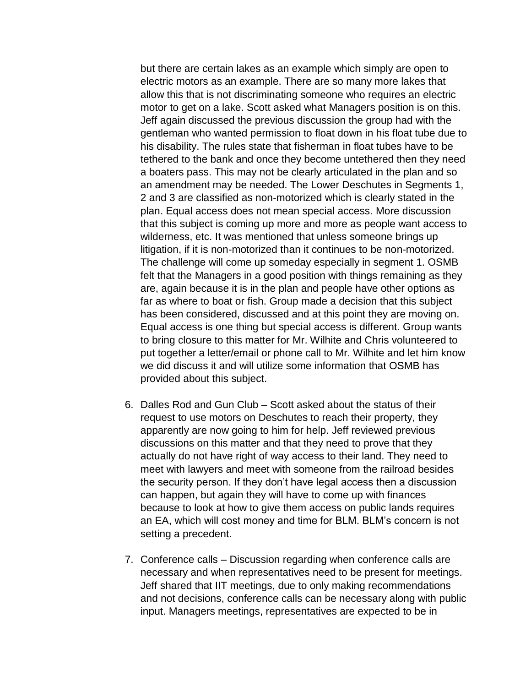but there are certain lakes as an example which simply are open to electric motors as an example. There are so many more lakes that allow this that is not discriminating someone who requires an electric motor to get on a lake. Scott asked what Managers position is on this. Jeff again discussed the previous discussion the group had with the gentleman who wanted permission to float down in his float tube due to his disability. The rules state that fisherman in float tubes have to be tethered to the bank and once they become untethered then they need a boaters pass. This may not be clearly articulated in the plan and so an amendment may be needed. The Lower Deschutes in Segments 1, 2 and 3 are classified as non-motorized which is clearly stated in the plan. Equal access does not mean special access. More discussion that this subject is coming up more and more as people want access to wilderness, etc. It was mentioned that unless someone brings up litigation, if it is non-motorized than it continues to be non-motorized. The challenge will come up someday especially in segment 1. OSMB felt that the Managers in a good position with things remaining as they are, again because it is in the plan and people have other options as far as where to boat or fish. Group made a decision that this subject has been considered, discussed and at this point they are moving on. Equal access is one thing but special access is different. Group wants to bring closure to this matter for Mr. Wilhite and Chris volunteered to put together a letter/email or phone call to Mr. Wilhite and let him know we did discuss it and will utilize some information that OSMB has provided about this subject.

- 6. Dalles Rod and Gun Club Scott asked about the status of their request to use motors on Deschutes to reach their property, they apparently are now going to him for help. Jeff reviewed previous discussions on this matter and that they need to prove that they actually do not have right of way access to their land. They need to meet with lawyers and meet with someone from the railroad besides the security person. If they don't have legal access then a discussion can happen, but again they will have to come up with finances because to look at how to give them access on public lands requires an EA, which will cost money and time for BLM. BLM's concern is not setting a precedent.
- 7. Conference calls Discussion regarding when conference calls are necessary and when representatives need to be present for meetings. Jeff shared that IIT meetings, due to only making recommendations and not decisions, conference calls can be necessary along with public input. Managers meetings, representatives are expected to be in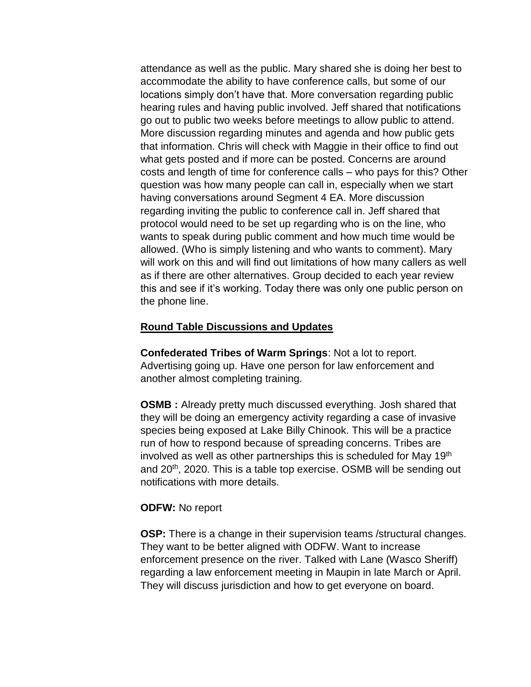attendance as well as the public. Mary shared she is doing her best to accommodate the ability to have conference calls, but some of our locations simply don't have that. More conversation regarding public hearing rules and having public involved. Jeff shared that notifications go out to public two weeks before meetings to allow public to attend. More discussion regarding minutes and agenda and how public gets that information. Chris will check with Maggie in their office to find out what gets posted and if more can be posted. Concerns are around costs and length of time for conference calls – who pays for this? Other question was how many people can call in, especially when we start having conversations around Segment 4 EA. More discussion regarding inviting the public to conference call in. Jeff shared that protocol would need to be set up regarding who is on the line, who wants to speak during public comment and how much time would be allowed. (Who is simply listening and who wants to comment). Mary will work on this and will find out limitations of how many callers as well as if there are other alternatives. Group decided to each year review this and see if it's working. Today there was only one public person on the phone line.

### **Round Table Discussions and Updates**

**Confederated Tribes of Warm Springs**: Not a lot to report. Advertising going up. Have one person for law enforcement and another almost completing training.

**OSMB** : Already pretty much discussed everything. Josh shared that they will be doing an emergency activity regarding a case of invasive species being exposed at Lake Billy Chinook. This will be a practice run of how to respond because of spreading concerns. Tribes are involved as well as other partnerships this is scheduled for May 19<sup>th</sup> and 20<sup>th</sup>, 2020. This is a table top exercise. OSMB will be sending out notifications with more details.

#### **ODFW:** No report

**OSP:** There is a change in their supervision teams /structural changes. They want to be better aligned with ODFW. Want to increase enforcement presence on the river. Talked with Lane (Wasco Sheriff) regarding a law enforcement meeting in Maupin in late March or April. They will discuss jurisdiction and how to get everyone on board.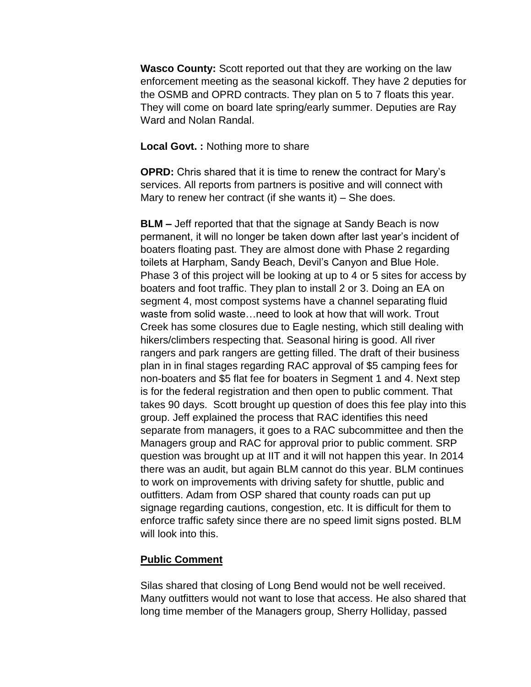**Wasco County:** Scott reported out that they are working on the law enforcement meeting as the seasonal kickoff. They have 2 deputies for the OSMB and OPRD contracts. They plan on 5 to 7 floats this year. They will come on board late spring/early summer. Deputies are Ray Ward and Nolan Randal.

### **Local Govt. :** Nothing more to share

**OPRD:** Chris shared that it is time to renew the contract for Mary's services. All reports from partners is positive and will connect with Mary to renew her contract (if she wants it) – She does.

**BLM –** Jeff reported that that the signage at Sandy Beach is now permanent, it will no longer be taken down after last year's incident of boaters floating past. They are almost done with Phase 2 regarding toilets at Harpham, Sandy Beach, Devil's Canyon and Blue Hole. Phase 3 of this project will be looking at up to 4 or 5 sites for access by boaters and foot traffic. They plan to install 2 or 3. Doing an EA on segment 4, most compost systems have a channel separating fluid waste from solid waste…need to look at how that will work. Trout Creek has some closures due to Eagle nesting, which still dealing with hikers/climbers respecting that. Seasonal hiring is good. All river rangers and park rangers are getting filled. The draft of their business plan in in final stages regarding RAC approval of \$5 camping fees for non-boaters and \$5 flat fee for boaters in Segment 1 and 4. Next step is for the federal registration and then open to public comment. That takes 90 days. Scott brought up question of does this fee play into this group. Jeff explained the process that RAC identifies this need separate from managers, it goes to a RAC subcommittee and then the Managers group and RAC for approval prior to public comment. SRP question was brought up at IIT and it will not happen this year. In 2014 there was an audit, but again BLM cannot do this year. BLM continues to work on improvements with driving safety for shuttle, public and outfitters. Adam from OSP shared that county roads can put up signage regarding cautions, congestion, etc. It is difficult for them to enforce traffic safety since there are no speed limit signs posted. BLM will look into this.

#### **Public Comment**

Silas shared that closing of Long Bend would not be well received. Many outfitters would not want to lose that access. He also shared that long time member of the Managers group, Sherry Holliday, passed